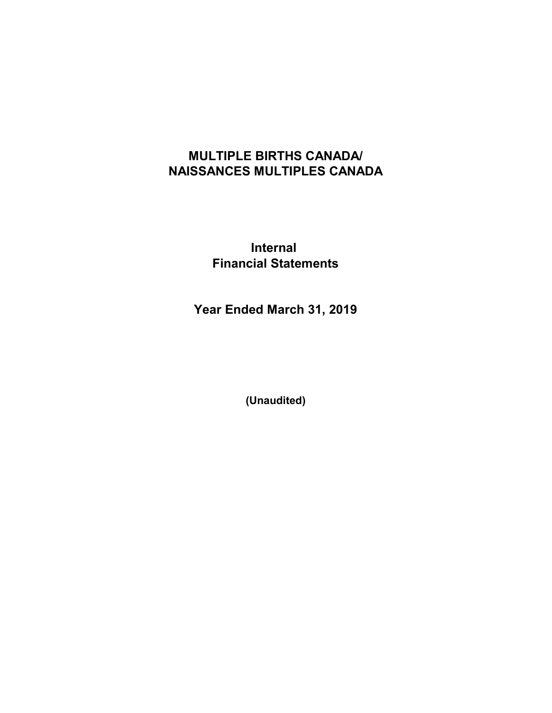## MULTIPLE BIRTHS CANADA/ NAISSANCES MULTIPLES CANADA

Internal Financial Statements

Year Ended March 31, 2019

(Unaudited)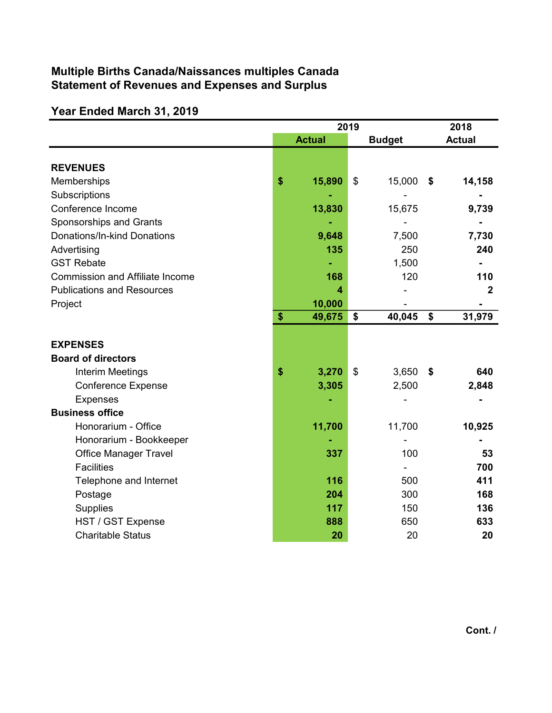### Multiple Births Canada/Naissances multiples Canada Statement of Revenues and Expenses and Surplus

# Year Ended March 31, 2019

|                                        | 2019          |    |               |                 | 2018           |  |
|----------------------------------------|---------------|----|---------------|-----------------|----------------|--|
|                                        | <b>Actual</b> |    | <b>Budget</b> |                 | <b>Actual</b>  |  |
|                                        |               |    |               |                 |                |  |
| <b>REVENUES</b>                        |               |    |               |                 |                |  |
| Memberships                            | \$<br>15,890  | \$ | 15,000        | \$              | 14,158         |  |
| Subscriptions                          |               |    |               |                 |                |  |
| Conference Income                      | 13,830        |    | 15,675        |                 | 9,739          |  |
| Sponsorships and Grants                |               |    |               |                 |                |  |
| Donations/In-kind Donations            | 9,648         |    | 7,500         |                 | 7,730          |  |
| Advertising                            | 135           |    | 250           |                 | 240            |  |
| <b>GST Rebate</b>                      |               |    | 1,500         |                 |                |  |
| <b>Commission and Affiliate Income</b> | 168           |    | 120           |                 | 110            |  |
| <b>Publications and Resources</b>      | 4             |    |               |                 | $\overline{2}$ |  |
| Project                                | 10,000        |    |               |                 |                |  |
|                                        | \$<br>49,675  | \$ | 40,045        | $\overline{\$}$ | 31,979         |  |
|                                        |               |    |               |                 |                |  |
| <b>EXPENSES</b>                        |               |    |               |                 |                |  |
| <b>Board of directors</b>              |               |    |               |                 |                |  |
| Interim Meetings                       | \$<br>3,270   | \$ | 3,650         | - \$            | 640            |  |
| <b>Conference Expense</b>              | 3,305         |    | 2,500         |                 | 2,848          |  |
| <b>Expenses</b>                        |               |    |               |                 |                |  |
| <b>Business office</b>                 |               |    |               |                 |                |  |
| Honorarium - Office                    | 11,700        |    | 11,700        |                 | 10,925         |  |
| Honorarium - Bookkeeper                |               |    |               |                 |                |  |
| <b>Office Manager Travel</b>           | 337           |    | 100           |                 | 53             |  |
| <b>Facilities</b>                      |               |    |               |                 | 700            |  |
| Telephone and Internet                 | 116           |    | 500           |                 | 411            |  |
| Postage                                | 204           |    | 300           |                 | 168            |  |
| Supplies                               | 117           |    | 150           |                 | 136            |  |
| HST / GST Expense                      | 888           |    | 650           |                 | 633            |  |
| <b>Charitable Status</b>               | 20            |    | 20            |                 | 20             |  |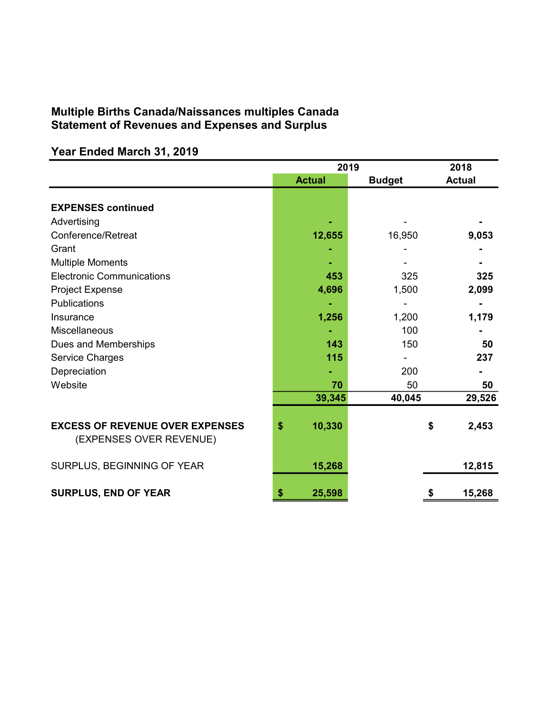### Multiple Births Canada/Naissances multiples Canada Statement of Revenues and Expenses and Surplus

# Year Ended March 31, 2019

|                                                                   | 2019          | 2018          |               |
|-------------------------------------------------------------------|---------------|---------------|---------------|
|                                                                   | <b>Actual</b> | <b>Budget</b> | <b>Actual</b> |
|                                                                   |               |               |               |
| <b>EXPENSES continued</b>                                         |               |               |               |
| Advertising                                                       |               |               |               |
| Conference/Retreat                                                | 12,655        | 16,950        | 9,053         |
| Grant                                                             |               |               |               |
| <b>Multiple Moments</b>                                           |               |               |               |
| <b>Electronic Communications</b>                                  | 453           | 325           | 325           |
| <b>Project Expense</b>                                            | 4,696         | 1,500         | 2,099         |
| <b>Publications</b>                                               |               |               |               |
| Insurance                                                         | 1,256         | 1,200         | 1,179         |
| Miscellaneous                                                     |               | 100           |               |
| Dues and Memberships                                              | 143           | 150           | 50            |
| Service Charges                                                   | 115           |               | 237           |
| Depreciation                                                      |               | 200           |               |
| Website                                                           | 70            | 50            | 50            |
|                                                                   | 39,345        | 40,045        | 29,526        |
|                                                                   |               |               |               |
| <b>EXCESS OF REVENUE OVER EXPENSES</b><br>(EXPENSES OVER REVENUE) | \$<br>10,330  |               | \$<br>2,453   |
|                                                                   |               |               |               |
| SURPLUS, BEGINNING OF YEAR                                        | 15,268        |               | 12,815        |
| <b>SURPLUS, END OF YEAR</b>                                       | 25,598<br>\$  |               | 15,268<br>\$  |
|                                                                   |               |               |               |